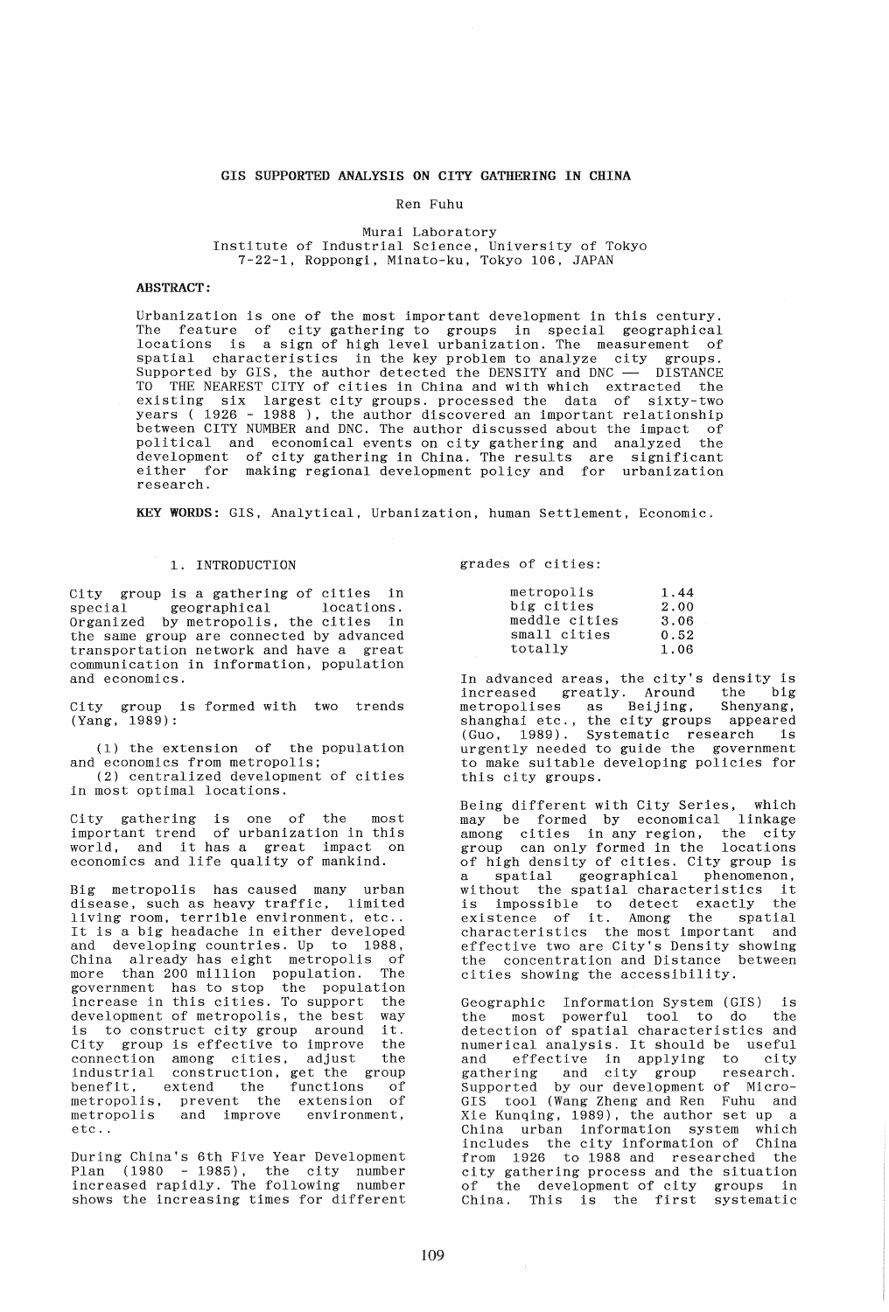# GIS SUPPORTED ANALYSIS ON CITY GATHERING IN CHINA

# Ren Fuhu

### Murai Laboratory Institute of Industrial Science, University of Tokyo 7-22-1, Roppongi, Minato-ku, Tokyo 106, JAPAN

# ABSTRACT:

Urbanization is one of the most important development in this century. The feature of city gathering to groups in special geographical locations is a sign of high level urbanization. The measurement of spatial characteristics in the key problem to analyze city groups. Supported by GIS, the author detected the DENSITY and DNC -- DISTANCE Eupporton by Sib, the duties decoded the BERSITI did biometers biblimed. existing six largest city groups. processed the data of sixty-two years (1926 - 1988), the author discovered an important relationship between CITY NUMBER and DNC. The author discussed about the impact of political and economical events on city gathering and analyzed the development of city gathering in China. The results are significant either for making regional development policy and for urbanization research.

KEY WORDS: GIS, Analytical, Urbanization, human Settlement, Economic.

## 1. INTRODUCTION

City group is a gathering of cities in special geographical locations. Organized by metropolis, the cities in Organized by metropolis, the cities in<br>the same group are connected by advanced transportation network and have a great communication in information, population and economics.

City group is formed with two trends (Yang, 1989):

(1) the extension of the population and economics from metropolis; (2) centralized development of cities in most optimal locations.

City gathering is one of the most important trend of urbanization in this world, and it has a great impact on economics and life quality of mankind.

Big metropolis has caused many urban disease, such as heavy traffic, limited living room, terrible environment, etc .. It is a big headache in either developed and developing countries. Up to 1988, China already has eight metropolis of more than 200 million population. The government has to stop the population increase in this cities. To support the development of metropolis, the best way<br>is to construct city group around it. is to construct city group around City group is effective to improve the connection among cities, adjust the industrial construction, get the group benefit, extend the functions of<br>metropolis, prevent the extension of metropolis, prevent the extension of metropolis and improve environment, etc ..

During China's 6th Five Year Development Plan (1980 - 1985), the city number increased rapidly. The following number shows the increasing times for different

grades of cities:

| metropolis    | 1.44 |
|---------------|------|
| big cities    | 2.00 |
| meddle cities | 3.06 |
| small cities  | 0.52 |
| totally       | 1.06 |

In advanced areas, the city's density is<br>increased greatly. Around the big increased greatly. Around the big metropolises as Beijing, Shenyang, shanghai etc., the city groups appeared (Guo, 1989). Systematic research is urgently needed to guide the government to make suitable developing policies for this city groups.

Being different with City Series, which may be formed by economical linkage among cities in any region, the city group can only formed in the locations of high density of cities. City group is of high density of critical strip group is<br>a spatial geographical phenomenon,<br>without the spatial characteristics it is impossible to detect exactly the existence of it. Among the spatial characteristics the most important and effective two are City's Density showing the concentration and Distance between cities showing the accessibility.

Geographic Information System (GIS) is the most powerful tool to do the detection of spatial characteristics and numerical analysis. It should be useful and effective in applying to city gathering and city group research. Supported by our development of Micro-GIS tool (Wang Zheng and Ren Fuhu and Xie Kunqing. 1989), the author set up a China urban information system which includes the city information of China from 1926 to 1988 and researched the city gathering process and the situation of the development of city groups in Of the development of triy groups in<br>China. This is the first systematic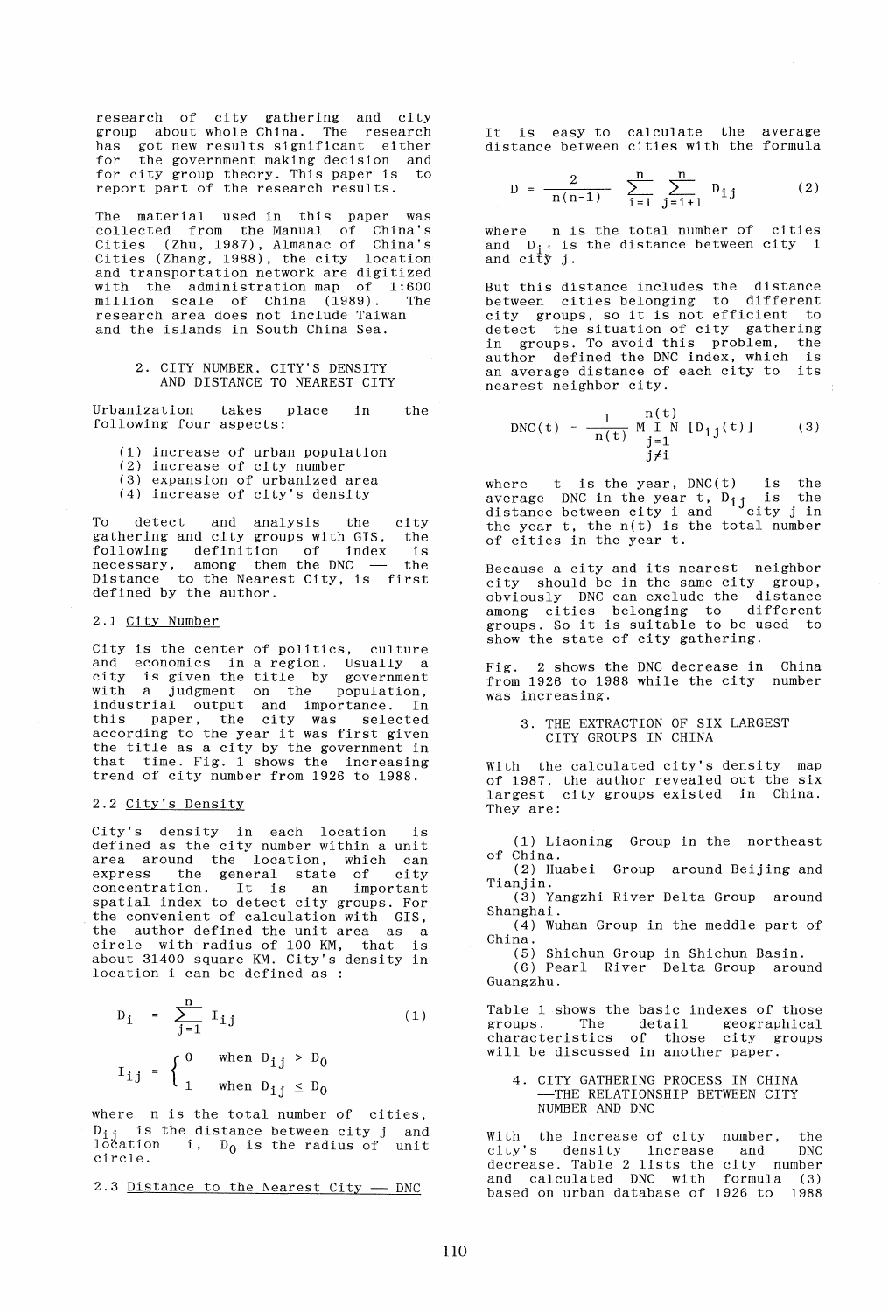research of city gathering and city group about whole China. The research has got new results significant either for the government making decision and for the government maning accreated and<br>for city group theory. This paper is to report part of the research results.

The material used in this paper was collected from the Manual of China's Cities (Zhu, 1987), Almanac of China's Cities (Zhang, 1988), the city location and transportation network are digitized with the administration map of 1:600 million scale of China (1989). The research area does not include Taiwan and the islands in South China Sea.

> 2. CITY NUMBER, CITY'S DENSITY AND DISTANCE TO NEAREST CITY

Urbanization takes place in following four aspects: the

- (1) increase of urban population
- (2) increase of city number
- (3) expansion of urbanized area
- (4) increase of city's density

To detect and analysis the gathering and city groups with GIS, the following definition of index necessary, among them the DNC Distance to the Nearest City, is first defined by the author. city is the

#### 2.1 City Number

City is the center of politics, culture and economics in a region. Usually a city is given the title by government with a judgment on the population, industrial output and importance. In this paper, the city was selected according to the year it was first given the title as a city by the government in that time. Fig. 1 shows the increasing trend of city number from 1926 to 1988.

#### 2.2 City's Density

City's density in each location is defined as the city number within a unit area around the location, which can express the general state of city concentration. It is an important spatial index to detect city groups. For the convenient of calculation with GIS, the author defined the unit area as a circle with radius of 100 KM, that is about 31400 square KM. City's density in location i can be defined as :

$$
D_{j} = \sum_{j=1}^{n} I_{j} \qquad (1)
$$
  

$$
I_{j} = \begin{cases} 0 & \text{when } D_{j} \geq D_{0} \\ 1 & \text{when } D_{j} \leq D_{0} \end{cases}
$$

where n is the total number of cities,  $D_{ij}$  is the distance between city j and<br>location i, D<sub>O</sub> is the radius of unit circle.

 $2.3$  Distance to the Nearest City  $-$  DNC

It is easy to calculate the average distance between cities with the formula

$$
D = \frac{2}{n(n-1)} \sum_{i=1}^{n} \sum_{j=i+1}^{n} D_{i,j}
$$
 (2)

where n is the total number of cities and  $D_{i,j}$  is the distance between city i and  $\begin{bmatrix} 0 & 1 \\ 0 & 1 \end{bmatrix}$   $\begin{bmatrix} 1 \\ 3 \end{bmatrix}$ .

But this distance includes the distance between cities belonging to different city groups, so it is not efficient to detect the situation of city gathering in groups. To avoid this problem, the author defined the DNC index, which is an average distance of each city to its nearest neighbor city.

$$
DNC(t) = \frac{1}{n(t)} \begin{cases} n(t) \\ j=1 \end{cases}
$$
 (3)  

$$
N(N(t)) = \frac{1}{n(t)} \begin{cases} n(t) \\ j=1 \end{cases}
$$

where t is the year,  $DNC(t)$  is the average DNC in the year t,  $D_{i,j}$  is the average DNC in the year t,  $D_{1j}$  is the distance between city  $i$  and  $\frac{1}{i}$  city  $j$  in the year  $t$ , the  $n(t)$  is the total number of cities in the year  $t$ .

Because a city and its nearest neighbor city should be in the same city group, obviously DNC can exclude the distance among cities belonging to different groups. So it is suitable to be used to show the state of city gathering.

Fig. 2 shows the DNC decrease in China from 1926 to 1988 while the city number was increasing.

3. THE EXTRACTION OF SIX LARGEST CITY GROUPS IN CHINA

With the calculated city's density map of 1987, the author revealed out the six largest city groups existed in China. They are:

(1) Liaoning Group in the northeast of China.

(2) Huabei Group around Beijing and Tianjin.

(3) Yangzhi River Delta Group around Shanghai.

(4) Wuhan Group in the meddle part of China.

(5) Shichun Group in Shichun Basin.

(6) Pearl River Delta Group around Guangzhu.

Table 1 shows the basic indexes of those able i shows the basic indexed of these<br>groups. The detail geographical characteristics of those city groups will be discussed in another paper.

4. CITY GATHERING PROCESS IN CHINA -THE RELATIONSHIP BETWEEN CITY NUMBER AND DNC

With the increase of city number, the city's density increase and DNC decrease. Table 2 lists the city number and calculated DNC with formula (3) based on urban database of 1926 to 1988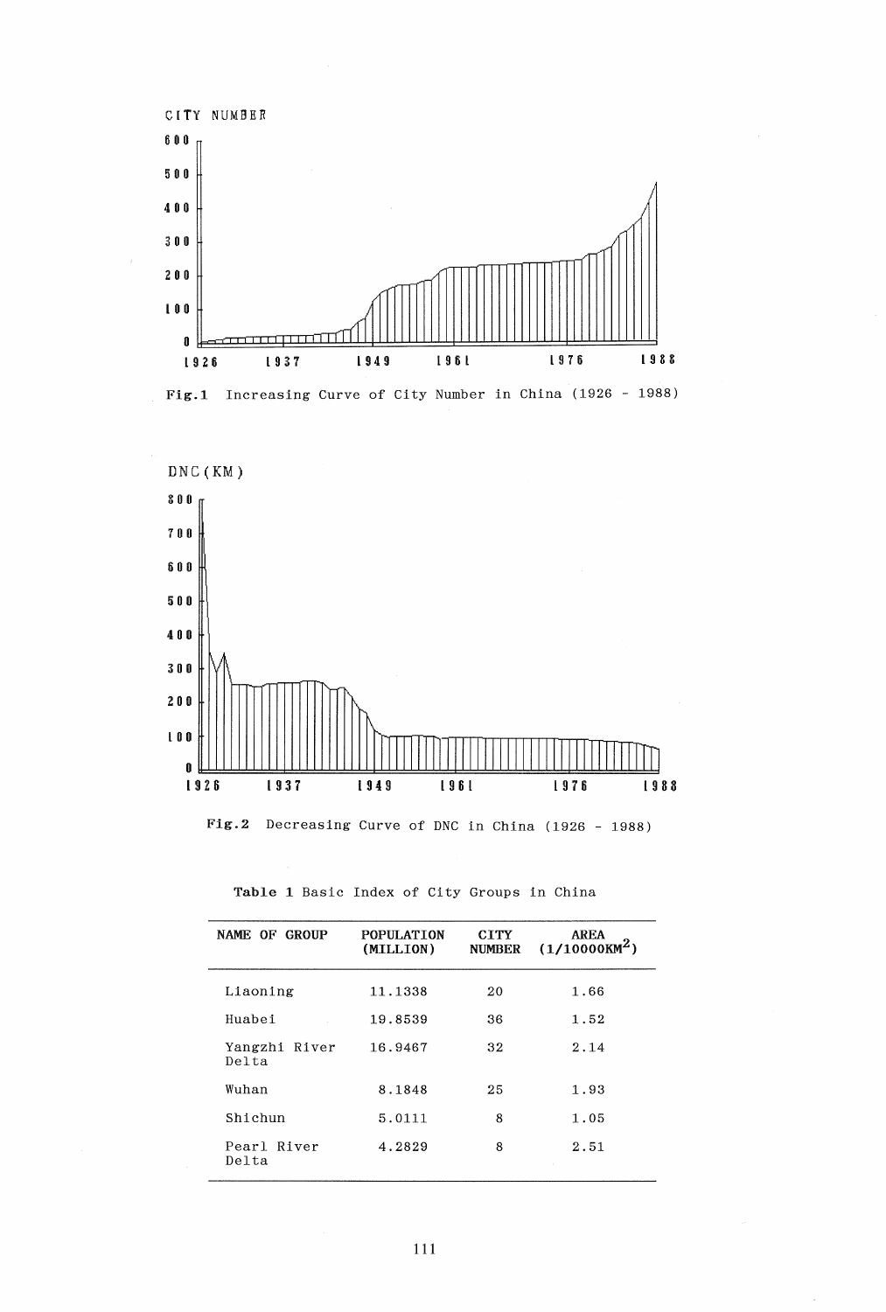



| NAME OF GROUP          | <b>POPULATION</b><br>(MILLION) | <b>CTTY</b><br><b>NUMBER</b> | <b>AREA</b><br>$(1/10000KM^2)$ |
|------------------------|--------------------------------|------------------------------|--------------------------------|
| Liaoning               | 11.1338                        | 20                           | 1.66                           |
| Huabei                 | 19.8539                        | 36                           | 1.52                           |
| Yangzhi River<br>Delta | 16.9467                        | 32                           | 2.14                           |
| Wuhan                  | 8.1848                         | 25                           | 1.93                           |
| Shichun                | 5.0111                         | 8                            | 1.05                           |
| Pearl River<br>Delta   | 4.2829                         | 8                            | 2.51                           |

Table 1 Basic Index of City Groups in China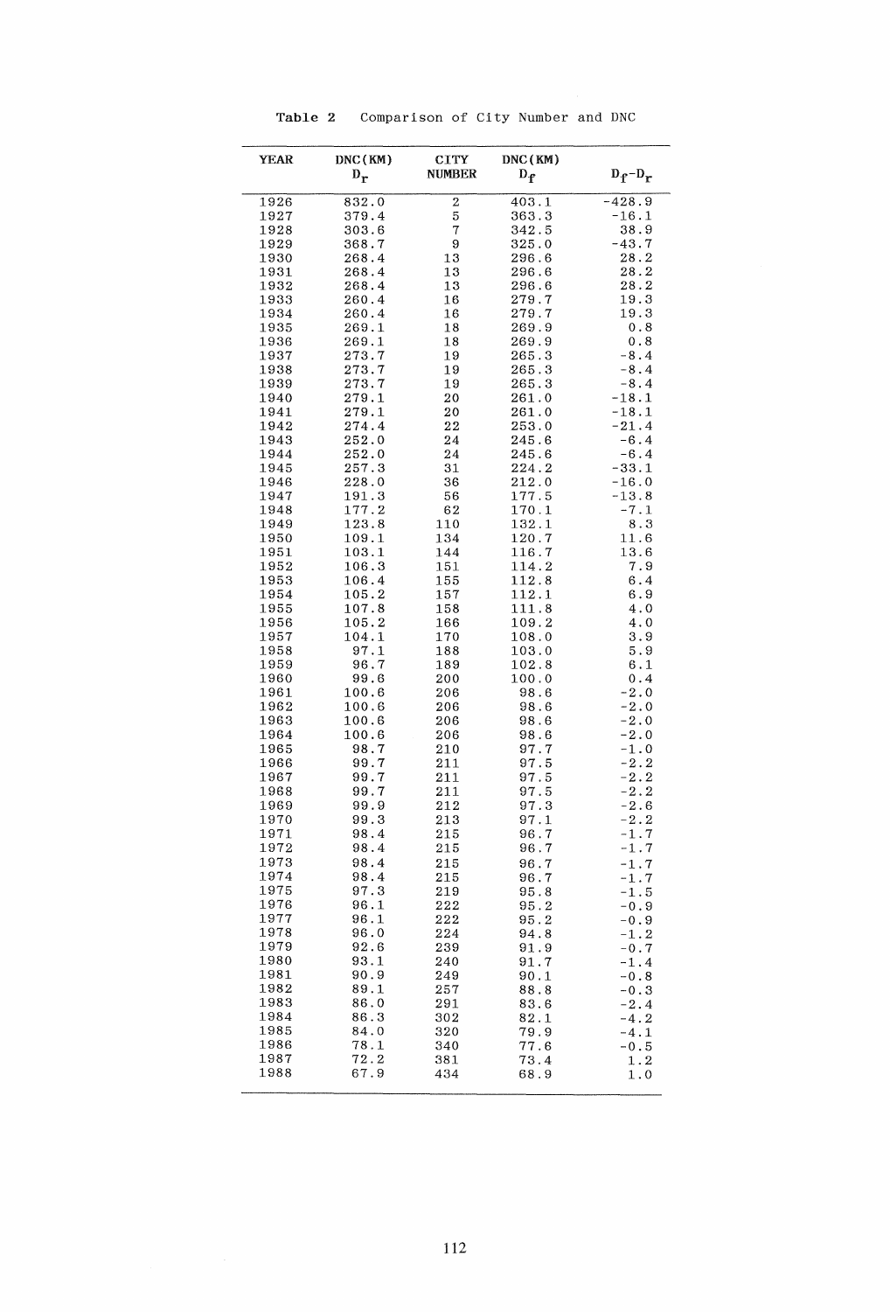| <b>YEAR</b>  | DNC(KM)<br>$D_{r}$ | <b>CITY</b><br><b>NUMBER</b> | DNC(KM)<br>$D_f$ | $D_f - D_r$                      |
|--------------|--------------------|------------------------------|------------------|----------------------------------|
| 1926         | 832.0              | 2                            | 403.1            | $-428.9$                         |
| 1927         | 379.4              | 5                            | 363.3            | $-16.1$                          |
| 1928         | 303.6              | 7                            | 342.5            | 38.9                             |
| 1929         | 368.7              | 9                            | 325.0            | $-43.7$                          |
| 1930         | 268.4              | 13                           | 296.6            | 28.2                             |
| 1931         | 268.4              | 13                           | 296.6            | 28.2                             |
| 1932<br>1933 | 268.4<br>260.4     | 13<br>16                     | 296.6<br>279.7   | 28.2<br>19.3                     |
| 1934         | 260.4              | 16                           | 279.7            | 19.3                             |
| 1935         | 269.1              | 18                           | 269.9            | 0.8                              |
| 1936         | 269.1              | 18                           | 269.9            | 0.8                              |
| 1937         | 273.7              | 19                           | 265.3            | $-8.4$                           |
| 1938         | 273.7              | 19                           | 265.3            | $-8.4$                           |
| 1939<br>1940 | 273.7<br>279.1     | 19<br>20                     | 265.3<br>261.0   | $-8.4$<br>$-18.1$                |
| 1941         | 279.1              | 20                           | 261.0            | $-18.1$                          |
| 1942         | 274.4              | 22                           | 253.0            | $-21.4$                          |
| 1943         | 252.0              | 24                           | 245.6            | $-6.4$                           |
| 1944         | 252.0              | 24                           | 245.6            | $-6.4$                           |
| 1945         | 257.3              | 31                           | 224.2            | $-33.1$                          |
| 1946<br>1947 | 228.0<br>191.3     | 36<br>56                     | 212.0<br>177.5   | $-16.0$<br>$-13.8$               |
| 1948         | 177.2              | 62                           | 170.1            | $-7.1$                           |
| 1949         | 123.8              | 110                          | 132.1            | 8.3                              |
| 1950         | 109.1              | 134                          | 120.7            | 11.6                             |
| 1951         | 103.1              | 144                          | 116.7            | 13.6                             |
| 1952         | 106.3              | 151                          | 114.2            | 7.9                              |
| 1953         | 106.4              | 155                          | 112.8            | 6.4<br>6.9                       |
| 1954<br>1955 | 105.2<br>107.8     | 157<br>158                   | 112.1<br>111.8   | 4.0                              |
| 1956         | 105.2              | 166                          | 109.2            | 4.0                              |
| 1957         | 104.1              | 170                          | 108.0            | 3.9                              |
| 1958         | 97.1               | 188                          | 103.0            | 5.9                              |
| 1959         | 96.7               | 189                          | 102.8            | 6.1                              |
| 1960         | 99.6               | 200                          | 100.0            | 0.4                              |
| 1961<br>1962 | 100.6<br>100.6     | 206<br>206                   | 98.6<br>98.6     | $-2.0$<br>$-2.0$                 |
| 1963         | 100.6              | 206                          | 98.6             | $-2.0$                           |
| 1964         | 100.6              | 206                          | 98.6             | $-2.0$                           |
| 1965         | 98.7               | 210                          | 97.7             | $-1.0$                           |
| 1966         | 99.7               | 211                          | 97.5             | $-2.2$                           |
| 1967         | 99.7               | 211                          | 97.5             | $-2.2$                           |
| 1968<br>1969 | 99.7<br>99.9       | 211<br>212                   | 97.5<br>97.3     | $-2.2$<br>$-2.6$                 |
| 1970         | 99.3               | $^{213}$                     | 97.1             | $-2.2$                           |
| 1971         | 98.4               | 215                          | 96.7             | $-1.7$                           |
| 1972         | 98.4               | 215                          | 96.7             | $-1.7$                           |
| 1973         | 98.4               | 215                          | 96.7             | $-1.7$                           |
| 1974         | 98.4               | 215                          | 96.7             | $\textcolor{red}{\mathbf{-1.7}}$ |
| 1975         | 97.3               | 219                          | 95.8             | -1.5                             |
| 1976<br>1977 | 96.1<br>96.1       | 222<br>222                   | 95.2             | $-0.9$                           |
| 1978         | 96.0               | 224                          | 95.2<br>94.8     | $-0.9$<br>$-1.2$                 |
| 1979         | 92.6               | 239                          | 91.9             | $-0.7$                           |
| 1980         | 93.1               | 240                          | 91.7             | $-1.4$                           |
| 1981         | 90.9               | 249                          | 90.1             | -0.8                             |
| 1982         | 89.1               | 257                          | 88.8             | $-0.3$                           |
| 1983<br>1984 | 86.0<br>86.3       | 291                          | 83.6             | $-2.4$                           |
| 1985         | 84.0               | 302<br>320                   | 82.1<br>79.9     | -4.2<br>-4.1                     |
| 1986         | 78.1               | 340                          | 77.6             | $-0.5$                           |
| 1987         | 72.2               | 381                          | 73.4             | 1.2                              |
| 1988         | 67.9               | 434                          | 68.9             | 1.0                              |

Table 2 Comparison of City Number and DNC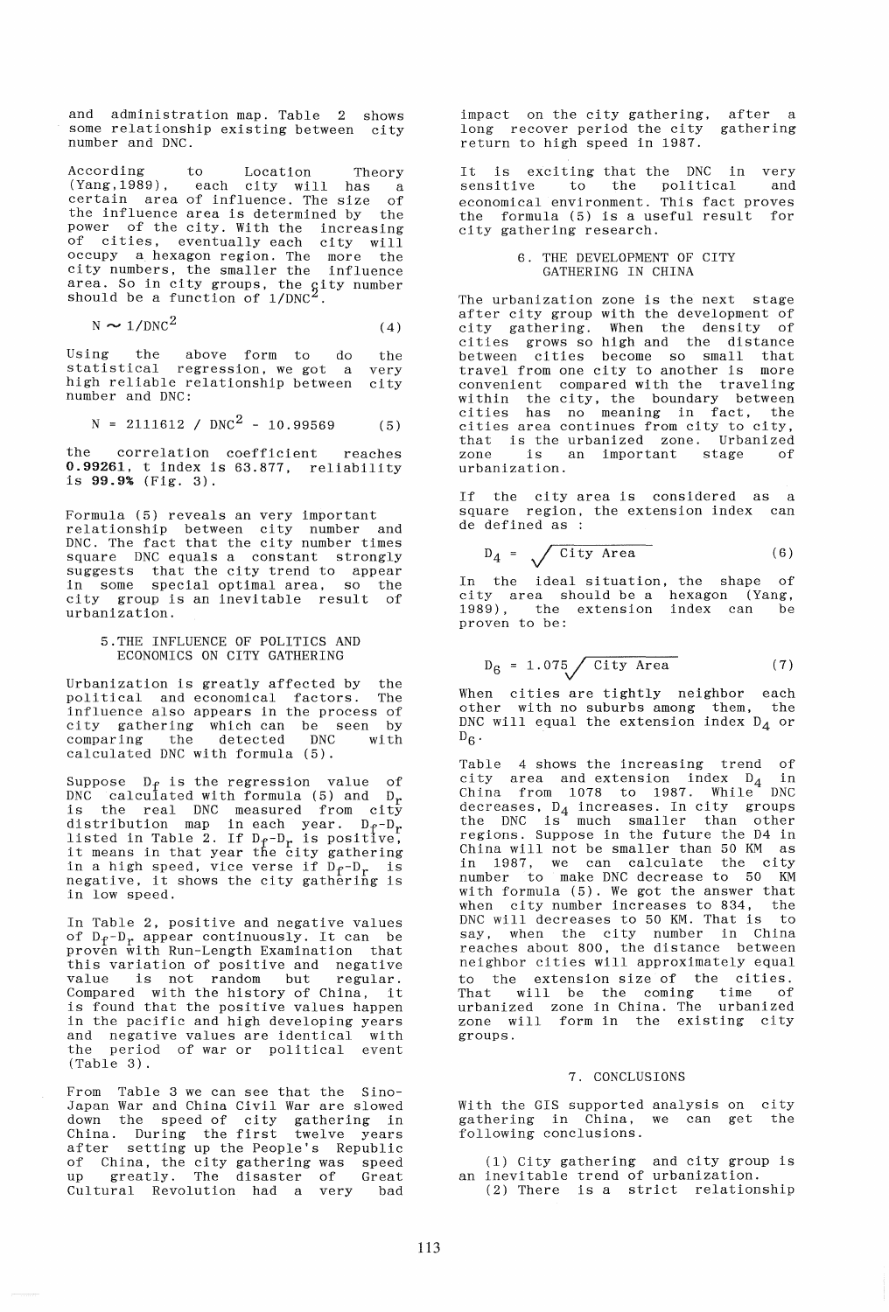and administration map. Table 2 shows some relationship existing between city number and DNC.

According to Location Theory (Yang,1989) , each city will has a certain area of influence. The size of the influence area is determined by the power of the city. With the increasing of cities, eventually each city will occupy a hexagon region. The more the city numbers, the smaller the influence area. So in city groups, the gity number should be a function of  $1/DNC<sup>2</sup>$ .

$$
N \sim 1/DNC^2 \tag{4}
$$

Using the above form to do the statistical regression, we got a very statistical regression, we got a very<br>high reliable relationship between city number and DNC:

$$
N = 2111612 / DNC2 - 10.99569
$$
 (5)

the correlation coefficient reaches 0.99261, t index is 63.877, reliability is 99.9% (Fig. 3),

Formula (5) reveals an very important relationship between city number and DNC. The fact that the city number times square DNC equals a constant strongly suggests that the city trend to appear in some special optimal area, so the city group is an inevitable result of urbanization.

### 5.THE INFLUENCE OF POLITICS AND ECONOMICS ON CITY GATHERING

Urbanization is greatly affected by the political and economical factors. The influence also appears in the process of city gathering which can be seen by comparing the detected DNC with calculated DNC with formula (5).

Suppose  $D_f$  is the regression value of<br>DNC calculated with formula (5) and  $D_r$ is the real DNC measured from city distribution map in each year. D<sub>r</sub>-D<sub>r</sub><br>listed in Table 2. If D<sub>r</sub>-D<sub>r</sub> is positive,<br>it means in that year the city gathering in a high speed, vice verse if  $D_f - D_r$  is<br>negative, it shows the city gathering is negative, it shows the city gathering is<br>in low speed.

In Table 2, positive and negative values of  $D_f - D_r$  appear continuously. It can be proven with Run-Length Examination that this variation of positive and negative<br>value is not random but regular. value is not random but Compared with the history of China, it is found that the positive values happen in the pacific and high developing years and negative values are identical with the period of war or political event (Table 3),

From Table 3 we can see that the Sino-Japan War and China Civil War are slowed down the speed of city gathering in China. During the first twelve years after setting up the People's Republic of China, the city gathering was speed up greatly. The disaster of Great Cultural Revolution had a very bad

impact on the city gathering, after a long recover period the city gathering return to high speed in 1981.

It is exciting that the DNC in very<br>sensitive to the political and sensitive to the political and economical environment. This fact proves the formula (5) is a useful result for city gathering research.

## 6. THE DEVELOPMENT OF CITY GATHERING IN CHINA

The urbanization zone is the next stage after city group with the development of city gathering. When the density of cities grows so high and the distance between cities become so small that travel from one city to another is more convenient compared with the traveling within the city, the boundary between eities has no meaning in fact, the cities area continues from city to city, that is the urbanized zone. Urbanized zone is an important stage of urbanization.

If the city area is considered as a square region, the extension index can de defined as :

$$
D_4 = \sqrt{City Area} \qquad (6)
$$

In the ideal situation, the shape of city area should be a hexagon (Yang, 1989), the extension index can be proven to be:

$$
D_6 = 1.075 \sqrt{City Area} \tag{7}
$$

When cities are tightly neighbor each other with no suburbs among them, the DNC will equal the extension index  $D_A$  or  $D_6$ .

Table 4 shows the increasing trend of city area and extension index  $D_4$  in China from 1078 to 1987. While<sup>4</sup> DNC  $\frac{1}{100}$  decreases,  $D_4$  increases. In city groups the DNC is much smaller than other regions. Suppose in the future the D4 in China will not be smaller than 50 KM as in 1981, we can calculate the city number to make DNC decrease to 50 KM with formula (5). We got the answer that when city number increases to 834, the<br>DNC will decreases to 50 KM. That is to  $DNC$  will decreases to 50 KM. That is say, when the city number in China reaches about 800, the distance between neighbor cities will approximately equal to the extension size of the cities. That will be the coming time of urbanized zone in China. The urbanized zone will form in the existing city groups.

#### 1. CONCLUSIONS

With the GIS supported analysis on gathering in China, we can get following conclusions. With the GIS supported analysis on city the

(1) City gathering and city group is an inevitable trend of urbanization. (2) There is a strict relationship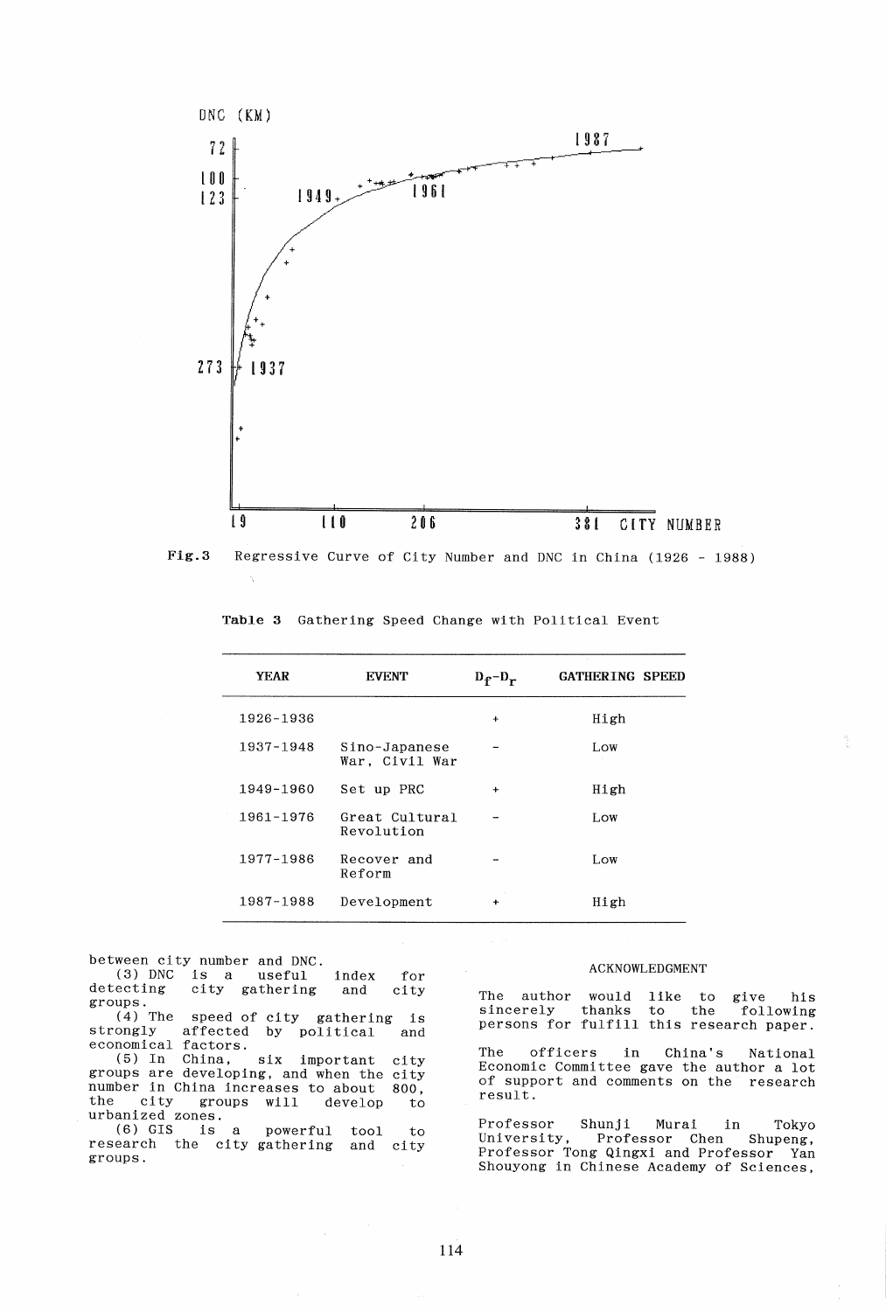

Fig.3 Regressive Curve of City Number and DNC in China (1926 - 1988)

| <b>YEAR</b> | <b>EVENT</b>                    | $D_f - D_r$          | <b>GATHERING SPEED</b> |
|-------------|---------------------------------|----------------------|------------------------|
| 1926-1936   |                                 | $\ddot{}$            | High                   |
| 1937-1948   | Sino-Japanese<br>War, Civil War |                      | LOW                    |
| 1949-1960   | Set up PRC                      | $\ddot{}$            | High                   |
| 1961-1976   | Great Cultural<br>Revolution    |                      | Low.                   |
| 1977-1986   | Recover and<br>Reform           |                      | Low                    |
| 1987-1988   | Development                     | $\ddot{\phantom{1}}$ | High                   |

Table 3 Gathering Speed Change with Political Event

between city number and DNC. (3) DNC is a useful index<br>detecting city gathering and city gathering groups. (4) The speed of city gathering  $(4)$  The speed of city gathering is<br>strongly affected by political and economical factors. (5) In China, six important groups are developing, and when the number in China increases to about number in China increases to about 800,<br>the city groups will develop to the city groups will<br>urbanized zones. (6) GIS is a powerful tool research the city gathering groups. for city and city  $\det$ to to and city

### ACKNOWLEDGMENT

The author would like to give his sincerely thanks to the following sincerely thanks to the following<br>persons for fulfill this research paper.

The officers in China's National Economic Committee gave the author a lot of support and comments on the research result.

Professor Shunji Murai in Tokyo Professor Chen Professor Tong Qingxi and Professor Yan Shouyong in Chinese Academy of Sciences,